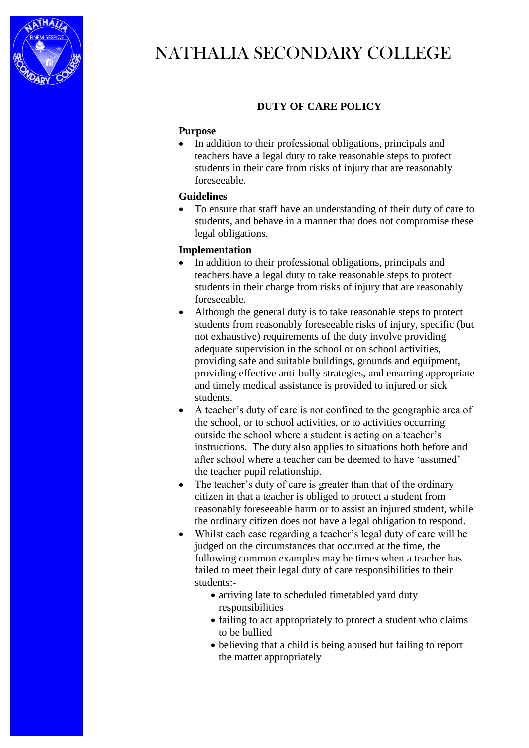

## **DUTY OF CARE POLICY**

## **Purpose**

• In addition to their professional obligations, principals and teachers have a legal duty to take reasonable steps to protect students in their care from risks of injury that are reasonably foreseeable.

## **Guidelines**

 To ensure that staff have an understanding of their duty of care to students, and behave in a manner that does not compromise these legal obligations.

## **Implementation**

- In addition to their professional obligations, principals and teachers have a legal duty to take reasonable steps to protect students in their charge from risks of injury that are reasonably foreseeable.
- Although the general duty is to take reasonable steps to protect students from reasonably foreseeable risks of injury, specific (but not exhaustive) requirements of the duty involve providing adequate supervision in the school or on school activities, providing safe and suitable buildings, grounds and equipment, providing effective anti-bully strategies, and ensuring appropriate and timely medical assistance is provided to injured or sick students.
- A teacher's duty of care is not confined to the geographic area of the school, or to school activities, or to activities occurring outside the school where a student is acting on a teacher's instructions. The duty also applies to situations both before and after school where a teacher can be deemed to have 'assumed' the teacher pupil relationship.
- The teacher's duty of care is greater than that of the ordinary citizen in that a teacher is obliged to protect a student from reasonably foreseeable harm or to assist an injured student, while the ordinary citizen does not have a legal obligation to respond.
- Whilst each case regarding a teacher's legal duty of care will be judged on the circumstances that occurred at the time, the following common examples may be times when a teacher has failed to meet their legal duty of care responsibilities to their students:-
	- arriving late to scheduled timetabled yard duty responsibilities
	- failing to act appropriately to protect a student who claims to be bullied
	- believing that a child is being abused but failing to report the matter appropriately